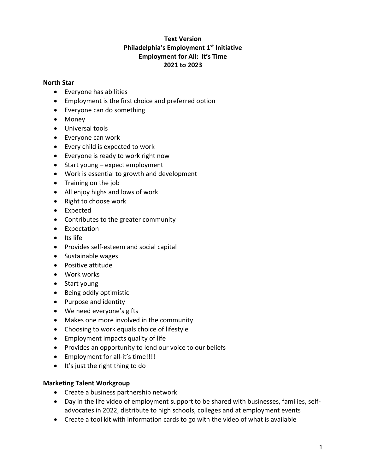# **Text Version Philadelphia's Employment 1st Initiative Employment for All: It's Time 2021 to 2023**

### **North Star**

- Everyone has abilities
- Employment is the first choice and preferred option
- Everyone can do something
- Money
- Universal tools
- Everyone can work
- Every child is expected to work
- Everyone is ready to work right now
- Start young expect employment
- Work is essential to growth and development
- Training on the job
- All enjoy highs and lows of work
- Right to choose work
- Expected
- Contributes to the greater community
- Expectation
- Its life
- Provides self-esteem and social capital
- Sustainable wages
- Positive attitude
- Work works
- Start young
- Being oddly optimistic
- Purpose and identity
- We need everyone's gifts
- Makes one more involved in the community
- Choosing to work equals choice of lifestyle
- Employment impacts quality of life
- Provides an opportunity to lend our voice to our beliefs
- Employment for all-it's time!!!!
- It's just the right thing to do

### **Marketing Talent Workgroup**

- Create a business partnership network
- Day in the life video of employment support to be shared with businesses, families, selfadvocates in 2022, distribute to high schools, colleges and at employment events
- Create a tool kit with information cards to go with the video of what is available